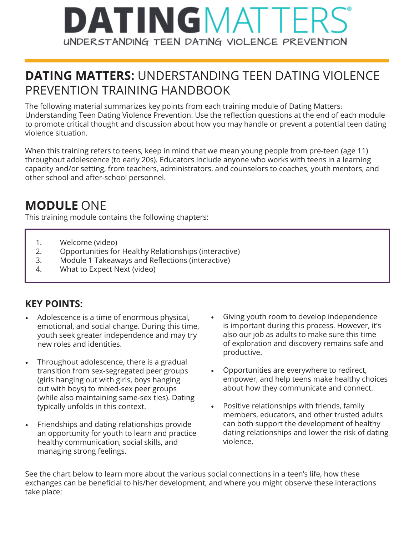## DATINGMATTE UNDERSTANDING TEEN DATING VIOLENCE PREVENTION

### **DATING MATTERS:** UNDERSTANDING TEEN DATING VIOLENCE PREVENTION TRAINING HANDBOOK

The following material summarizes key points from each training module of Dating Matters: Understanding Teen Dating Violence Prevention. Use the reflection questions at the end of each module to promote critical thought and discussion about how you may handle or prevent a potential teen dating violence situation.

When this training refers to teens, keep in mind that we mean young people from pre-teen (age 11) throughout adolescence (to early 20s). Educators include anyone who works with teens in a learning capacity and/or setting, from teachers, administrators, and counselors to coaches, youth mentors, and other school and after-school personnel.

#### **MODULE** ONE

This training module contains the following chapters:

- 1. Welcome (video)
- 2. Opportunities for Healthy Relationships (interactive)
- 3. Module 1 Takeaways and Reflections (interactive)
- 4. What to Expect Next (video)

#### **KEY POINTS:**

- Adolescence is a time of enormous physical, emotional, and social change. During this time, youth seek greater independence and may try new roles and identities.
- Throughout adolescence, there is a gradual transition from sex-segregated peer groups (girls hanging out with girls, boys hanging out with boys) to mixed-sex peer groups (while also maintaining same-sex ties). Dating typically unfolds in this context.
- Friendships and dating relationships provide an opportunity for youth to learn and practice healthy communication, social skills, and managing strong feelings.
- Giving youth room to develop independence is important during this process. However, it's also our job as adults to make sure this time of exploration and discovery remains safe and productive.
- Opportunities are everywhere to redirect, empower, and help teens make healthy choices about how they communicate and connect.
- Positive relationships with friends, family members, educators, and other trusted adults can both support the development of healthy dating relationships and lower the risk of dating violence.

See the chart below to learn more about the various social connections in a teen's life, how these exchanges can be beneficial to his/her development, and where you might observe these interactions take place: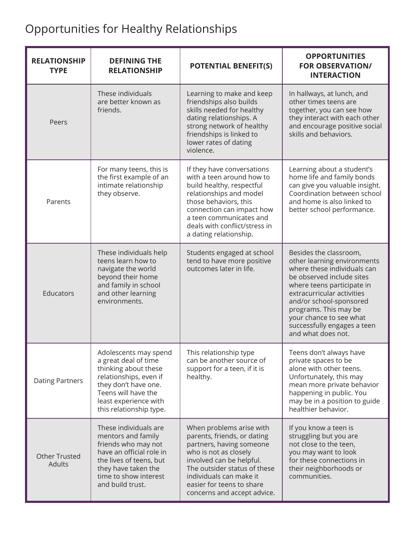## Opportunities for Healthy Relationships

| <b>RELATIONSHIP</b><br><b>TYPE</b> | <b>DEFINING THE</b><br><b>RELATIONSHIP</b>                                                                                                                                                         | <b>POTENTIAL BENEFIT(S)</b>                                                                                                                                                                                                                                     | <b>OPPORTUNITIES</b><br><b>FOR OBSERVATION/</b><br><b>INTERACTION</b>                                                                                                                                                                                                                                             |
|------------------------------------|----------------------------------------------------------------------------------------------------------------------------------------------------------------------------------------------------|-----------------------------------------------------------------------------------------------------------------------------------------------------------------------------------------------------------------------------------------------------------------|-------------------------------------------------------------------------------------------------------------------------------------------------------------------------------------------------------------------------------------------------------------------------------------------------------------------|
| Peers                              | These individuals<br>are better known as<br>friends.                                                                                                                                               | Learning to make and keep<br>friendships also builds<br>skills needed for healthy<br>dating relationships. A<br>strong network of healthy<br>friendships is linked to<br>lower rates of dating<br>violence.                                                     | In hallways, at lunch, and<br>other times teens are<br>together, you can see how<br>they interact with each other<br>and encourage positive social<br>skills and behaviors.                                                                                                                                       |
| Parents                            | For many teens, this is<br>the first example of an<br>intimate relationship<br>they observe.                                                                                                       | If they have conversations<br>with a teen around how to<br>build healthy, respectful<br>relationships and model<br>those behaviors, this<br>connection can impact how<br>a teen communicates and<br>deals with conflict/stress in<br>a dating relationship.     | Learning about a student's<br>home life and family bonds<br>can give you valuable insight.<br>Coordination between school<br>and home is also linked to<br>better school performance.                                                                                                                             |
| Educators                          | These individuals help<br>teens learn how to<br>navigate the world<br>beyond their home<br>and family in school<br>and other learning<br>environments.                                             | Students engaged at school<br>tend to have more positive<br>outcomes later in life.                                                                                                                                                                             | Besides the classroom,<br>other learning environments<br>where these individuals can<br>be observed include sites<br>where teens participate in<br>extracurricular activities<br>and/or school-sponsored<br>programs. This may be<br>your chance to see what<br>successfully engages a teen<br>and what does not. |
| <b>Dating Partners</b>             | Adolescents may spend<br>a great deal of time<br>thinking about these<br>relationships, even if<br>they don't have one.<br>Teens will have the<br>least experience with<br>this relationship type. | This relationship type<br>can be another source of<br>support for a teen, if it is<br>healthy.                                                                                                                                                                  | Teens don't always have<br>private spaces to be<br>alone with other teens.<br>Unfortunately, this may<br>mean more private behavior<br>happening in public. You<br>may be in a position to guide<br>healthier behavior.                                                                                           |
| <b>Other Trusted</b><br>Adults     | These individuals are<br>mentors and family<br>friends who may not<br>have an official role in<br>the lives of teens, but<br>they have taken the<br>time to show interest<br>and build trust.      | When problems arise with<br>parents, friends, or dating<br>partners, having someone<br>who is not as closely<br>involved can be helpful.<br>The outsider status of these<br>individuals can make it<br>easier for teens to share<br>concerns and accept advice. | If you know a teen is<br>struggling but you are<br>not close to the teen,<br>you may want to look<br>for these connections in<br>their neighborhoods or<br>communities.                                                                                                                                           |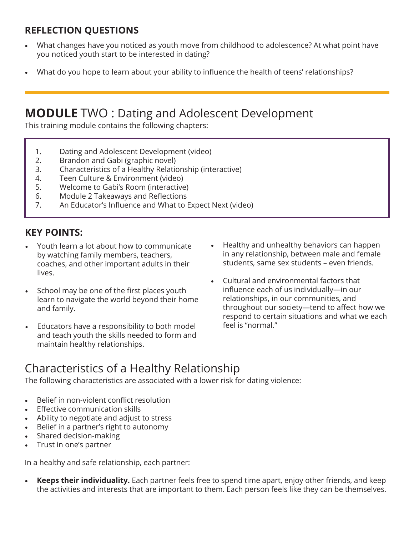#### **REFLECTION QUESTIONS**

- What changes have you noticed as youth move from childhood to adolescence? At what point have you noticed youth start to be interested in dating?
- What do you hope to learn about your ability to influence the health of teens' relationships?

#### **MODULE** TWO : Dating and Adolescent Development

This training module contains the following chapters:

- 1. Dating and Adolescent Development (video)
- 2. Brandon and Gabi (graphic novel)
- 3. Characteristics of a Healthy Relationship (interactive)
- 4. Teen Culture & Environment (video)
- 5. Welcome to Gabi's Room (interactive)
- 6. Module 2 Takeaways and Reflections
- 7. An Educator's Influence and What to Expect Next (video)

#### **KEY POINTS:**

- Youth learn a lot about how to communicate by watching family members, teachers, coaches, and other important adults in their lives.
- School may be one of the first places youth learn to navigate the world beyond their home and family.
- Educators have a responsibility to both model and teach youth the skills needed to form and maintain healthy relationships.
- Healthy and unhealthy behaviors can happen in any relationship, between male and female students, same sex students – even friends.
- Cultural and environmental factors that influence each of us individually—in our relationships, in our communities, and throughout our society—tend to affect how we respond to certain situations and what we each feel is "normal."

### Characteristics of a Healthy Relationship

The following characteristics are associated with a lower risk for dating violence:

- Belief in non-violent conflict resolution
- **Effective communication skills**
- Ability to negotiate and adjust to stress
- Belief in a partner's right to autonomy
- Shared decision-making
- Trust in one's partner

In a healthy and safe relationship, each partner:

**• Keeps their individuality.** Each partner feels free to spend time apart, enjoy other friends, and keep the activities and interests that are important to them. Each person feels like they can be themselves.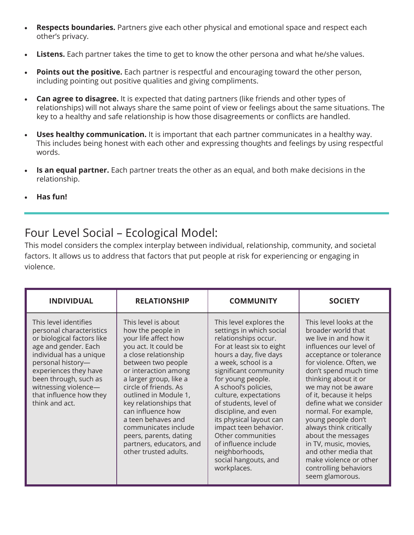- **• Respects boundaries.** Partners give each other physical and emotional space and respect each other's privacy.
- **• Listens.** Each partner takes the time to get to know the other persona and what he/she values.
- **• Points out the positive.** Each partner is respectful and encouraging toward the other person, including pointing out positive qualities and giving compliments.
- **• Can agree to disagree.** It is expected that dating partners (like friends and other types of relationships) will not always share the same point of view or feelings about the same situations. The key to a healthy and safe relationship is how those disagreements or conflicts are handled.
- **• Uses healthy communication.** It is important that each partner communicates in a healthy way. This includes being honest with each other and expressing thoughts and feelings by using respectful words.
- **• Is an equal partner.** Each partner treats the other as an equal, and both make decisions in the relationship.
- **• Has fun!**

#### Four Level Social – Ecological Model:

This model considers the complex interplay between individual, relationship, community, and societal factors. It allows us to address that factors that put people at risk for experiencing or engaging in violence.

| <b>INDIVIDUAL</b>                                                                                                                                                                                                                                                              | <b>RELATIONSHIP</b>                                                                                                                                                                                                                                                                                                                                                                                                    | <b>COMMUNITY</b>                                                                                                                                                                                                                                                                                                                                                                                                                                                    | <b>SOCIETY</b>                                                                                                                                                                                                                                                                                                                                                                                                                                                                                              |
|--------------------------------------------------------------------------------------------------------------------------------------------------------------------------------------------------------------------------------------------------------------------------------|------------------------------------------------------------------------------------------------------------------------------------------------------------------------------------------------------------------------------------------------------------------------------------------------------------------------------------------------------------------------------------------------------------------------|---------------------------------------------------------------------------------------------------------------------------------------------------------------------------------------------------------------------------------------------------------------------------------------------------------------------------------------------------------------------------------------------------------------------------------------------------------------------|-------------------------------------------------------------------------------------------------------------------------------------------------------------------------------------------------------------------------------------------------------------------------------------------------------------------------------------------------------------------------------------------------------------------------------------------------------------------------------------------------------------|
| This level identifies<br>personal characteristics<br>or biological factors like<br>age and gender. Each<br>individual has a unique<br>personal history-<br>experiences they have<br>been through, such as<br>witnessing violence-<br>that influence how they<br>think and act. | This level is about<br>how the people in<br>your life affect how<br>you act. It could be<br>a close relationship<br>between two people<br>or interaction among<br>a larger group, like a<br>circle of friends. As<br>outlined in Module 1,<br>key relationships that<br>can influence how<br>a teen behaves and<br>communicates include<br>peers, parents, dating<br>partners, educators, and<br>other trusted adults. | This level explores the<br>settings in which social<br>relationships occur.<br>For at least six to eight<br>hours a day, five days<br>a week, school is a<br>significant community<br>for young people.<br>A school's policies,<br>culture, expectations<br>of students, level of<br>discipline, and even<br>its physical layout can<br>impact teen behavior.<br>Other communities<br>of influence include<br>neighborhoods,<br>social hangouts, and<br>workplaces. | This level looks at the<br>broader world that<br>we live in and how it<br>influences our level of<br>acceptance or tolerance<br>for violence. Often, we<br>don't spend much time<br>thinking about it or<br>we may not be aware<br>of it, because it helps<br>define what we consider<br>normal. For example,<br>young people don't<br>always think critically<br>about the messages<br>in TV, music, movies,<br>and other media that<br>make violence or other<br>controlling behaviors<br>seem glamorous. |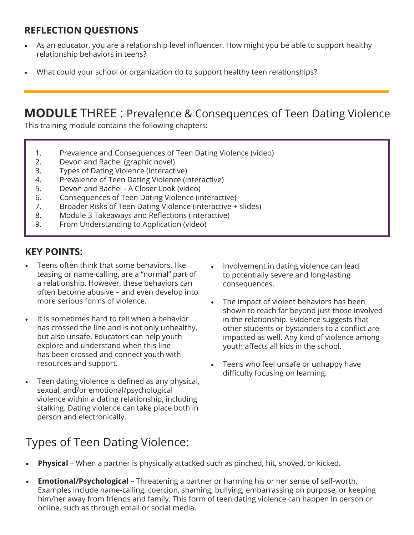#### **REFLECTION QUESTIONS**

- As an educator, you are a relationship level influencer. How might you be able to support healthy relationship behaviors in teens?
- What could your school or organization do to support healthy teen relationships?

## **MODULE** THREE : Prevalence & Consequences of Teen Dating Violence

This training module contains the following chapters:

- 1. Prevalence and Consequences of Teen Dating Violence (video)
- 2. Devon and Rachel (graphic novel)
- 3. Types of Dating Violence (interactive)
- 4. Prevalence of Teen Dating Violence (interactive)
- 5. Devon and Rachel A Closer Look (video)
- 6. Consequences of Teen Dating Violence (interactive)
- 7. Broader Risks of Teen Dating Violence (interactive + slides)
- 8. Module 3 Takeaways and Reflections (interactive)
- 9. From Understanding to Application (video)

#### **KEY POINTS:**

- Teens often think that some behaviors, like teasing or name-calling, are a "normal" part of a relationship. However, these behaviors can often become abusive – and even develop into more serious forms of violence.
- It is sometimes hard to tell when a behavior has crossed the line and is not only unhealthy, but also unsafe. Educators can help youth explore and understand when this line has been crossed and connect youth with resources and support.
- Teen dating violence is defined as any physical, sexual, and/or emotional/psychological violence within a dating relationship, including stalking. Dating violence can take place both in person and electronically.
- Involvement in dating violence can lead to potentially severe and long-lasting consequences.
- The impact of violent behaviors has been shown to reach far beyond just those involved in the relationship. Evidence suggests that other students or bystanders to a conflict are impacted as well. Any kind of violence among youth affects all kids in the school.
- Teens who feel unsafe or unhappy have difficulty focusing on learning.

- Types of Teen Dating Violence:
- **• Physical** When a partner is physically attacked such as pinched, hit, shoved, or kicked.
- **• Emotional/Psychological**  Threatening a partner or harming his or her sense of self-worth. Examples include name-calling, coercion, shaming, bullying, embarrassing on purpose, or keeping him/her away from friends and family. This form of teen dating violence can happen in person or online, such as through email or social media.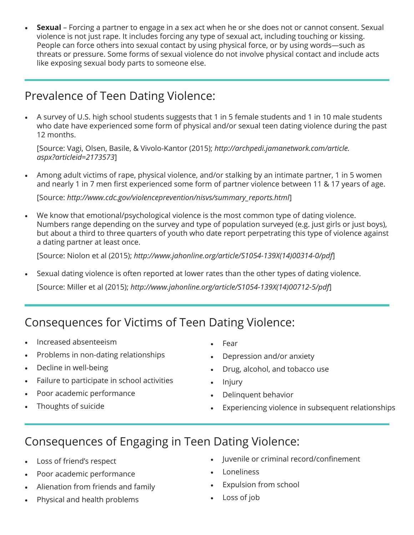**• Sexual** – Forcing a partner to engage in a sex act when he or she does not or cannot consent. Sexual violence is not just rape. It includes forcing any type of sexual act, including touching or kissing. People can force others into sexual contact by using physical force, or by using words—such as threats or pressure. Some forms of sexual violence do not involve physical contact and include acts like exposing sexual body parts to someone else.

#### Prevalence of Teen Dating Violence:

• A survey of U.S. high school students suggests that 1 in 5 female students and 1 in 10 male students who date have experienced some form of physical and/or sexual teen dating violence during the past 12 months.

[Source: Vagi, Olsen, Basile, & Vivolo-Kantor (2015); *http://archpedi.jamanetwork.com/article. aspx?articleid=2173573*]

• Among adult victims of rape, physical violence, and/or stalking by an intimate partner, 1 in 5 women and nearly 1 in 7 men first experienced some form of partner violence between 11 & 17 years of age.

[Source: *http://www.cdc.gov/violenceprevention/nisvs/summary\_reports.html*]

• We know that emotional/psychological violence is the most common type of dating violence. Numbers range depending on the survey and type of population surveyed (e.g. just girls or just boys), but about a third to three quarters of youth who date report perpetrating this type of violence against a dating partner at least once.

[Source: Niolon et al (2015); *http://www.jahonline.org/article/S1054-139X(14)00314-0/pdf*]

• Sexual dating violence is often reported at lower rates than the other types of dating violence.

[Source: Miller et al (2015); *http://www.jahonline.org/article/S1054-139X(14)00712-5/pdf*]

#### Consequences for Victims of Teen Dating Violence:

- Increased absenteeism
- Problems in non-dating relationships
- Decline in well-being
- Failure to participate in school activities
- Poor academic performance
- Thoughts of suicide
- Fear
- Depression and/or anxiety
- Drug, alcohol, and tobacco use
- Injury
- Delinquent behavior
- Experiencing violence in subsequent relationships

#### Consequences of Engaging in Teen Dating Violence:

- Loss of friend's respect
- Poor academic performance
- Alienation from friends and family
- Physical and health problems
- Juvenile or criminal record/confinement
- Loneliness
- Expulsion from school
- Loss of job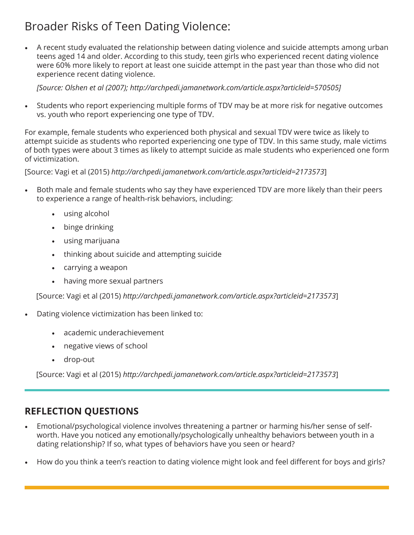### Broader Risks of Teen Dating Violence:

• A recent study evaluated the relationship between dating violence and suicide attempts among urban teens aged 14 and older. According to this study, teen girls who experienced recent dating violence were 60% more likely to report at least one suicide attempt in the past year than those who did not experience recent dating violence.

*[Source: Olshen et al (2007); http://archpedi.jamanetwork.com/article.aspx?articleid=570505]*

• Students who report experiencing multiple forms of TDV may be at more risk for negative outcomes vs. youth who report experiencing one type of TDV.

For example, female students who experienced both physical and sexual TDV were twice as likely to attempt suicide as students who reported experiencing one type of TDV. In this same study, male victims of both types were about 3 times as likely to attempt suicide as male students who experienced one form of victimization.

[Source: Vagi et al (2015) *http://archpedi.jamanetwork.com/article.aspx?articleid=2173573*]

- Both male and female students who say they have experienced TDV are more likely than their peers to experience a range of health-risk behaviors, including:
	- using alcohol
	- binge drinking
	- using marijuana
	- thinking about suicide and attempting suicide
	- carrying a weapon
	- having more sexual partners

[Source: Vagi et al (2015) *http://archpedi.jamanetwork.com/article.aspx?articleid=2173573*]

- Dating violence victimization has been linked to:
	- academic underachievement
	- negative views of school
	- drop-out

[Source: Vagi et al (2015) *http://archpedi.jamanetwork.com/article.aspx?articleid=2173573*]

#### **REFLECTION QUESTIONS**

- Emotional/psychological violence involves threatening a partner or harming his/her sense of selfworth. Have you noticed any emotionally/psychologically unhealthy behaviors between youth in a dating relationship? If so, what types of behaviors have you seen or heard?
- How do you think a teen's reaction to dating violence might look and feel different for boys and girls?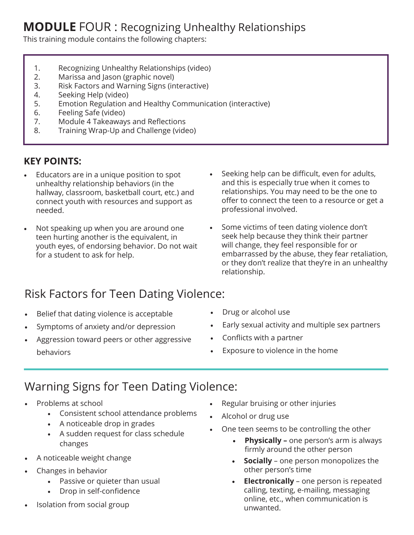#### **MODULE** FOUR : Recognizing Unhealthy Relationships

This training module contains the following chapters:

- 1. Recognizing Unhealthy Relationships (video)
- 2. Marissa and Jason (graphic novel)
- 3. Risk Factors and Warning Signs (interactive)
- 4. Seeking Help (video)
- 5. Emotion Regulation and Healthy Communication (interactive)
- 6. Feeling Safe (video)
- 7. Module 4 Takeaways and Reflections
- 8. Training Wrap-Up and Challenge (video)

#### **KEY POINTS:**

- Educators are in a unique position to spot unhealthy relationship behaviors (in the hallway, classroom, basketball court, etc.) and connect youth with resources and support as needed.
- Not speaking up when you are around one teen hurting another is the equivalent, in youth eyes, of endorsing behavior. Do not wait for a student to ask for help.
- Seeking help can be difficult, even for adults, and this is especially true when it comes to relationships. You may need to be the one to offer to connect the teen to a resource or get a professional involved.
- Some victims of teen dating violence don't seek help because they think their partner will change, they feel responsible for or embarrassed by the abuse, they fear retaliation, or they don't realize that they're in an unhealthy relationship.

### Risk Factors for Teen Dating Violence:

- Belief that dating violence is acceptable
- Symptoms of anxiety and/or depression
- Aggression toward peers or other aggressive behaviors
- Drug or alcohol use
- Early sexual activity and multiple sex partners
- Conflicts with a partner
- Exposure to violence in the home

#### Warning Signs for Teen Dating Violence:

- Problems at school
	- Consistent school attendance problems
	- A noticeable drop in grades
	- A sudden request for class schedule changes
- A noticeable weight change
- Changes in behavior
	- Passive or quieter than usual
	- Drop in self-confidence
- Isolation from social group
- Regular bruising or other injuries
- Alcohol or drug use
- One teen seems to be controlling the other
	- **• Physically** one person's arm is always firmly around the other person
	- **• Socially** one person monopolizes the other person's time
	- **• Electronically** one person is repeated calling, texting, e-mailing, messaging online, etc., when communication is unwanted.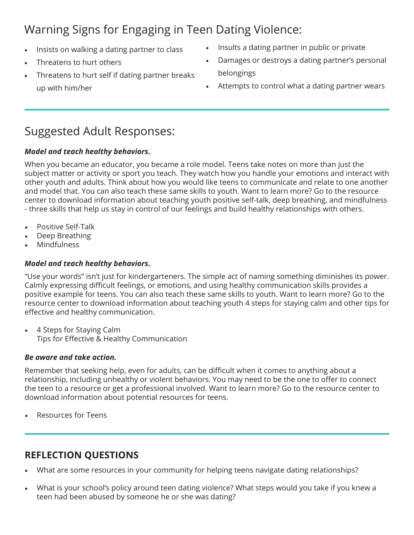## Warning Signs for Engaging in Teen Dating Violence:

- Insists on walking a dating partner to class
- Threatens to hurt others
- Threatens to hurt self if dating partner breaks up with him/her
- Insults a dating partner in public or private
- Damages or destroys a dating partner's personal belongings
- Attempts to control what a dating partner wears

#### Suggested Adult Responses:

#### *Model and teach healthy behaviors.*

When you became an educator, you became a role model. Teens take notes on more than just the subject matter or activity or sport you teach. They watch how you handle your emotions and interact with other youth and adults. Think about how you would like teens to communicate and relate to one another and model that. You can also teach these same skills to youth. Want to learn more? Go to the resource center to download information about teaching youth positive self-talk, deep breathing, and mindfulness - three skills that help us stay in control of our feelings and build healthy relationships with others.

- Positive Self-Talk
- Deep Breathing
- **Mindfulness**

#### *Model and teach healthy behaviors.*

"Use your words" isn't just for kindergarteners. The simple act of naming something diminishes its power. Calmly expressing difficult feelings, or emotions, and using healthy communication skills provides a positive example for teens. You can also teach these same skills to youth. Want to learn more? Go to the resource center to download information about teaching youth 4 steps for staying calm and other tips for effective and healthy communication.

• 4 Steps for Staying Calm Tips for Effective & Healthy Communication

#### *Be aware and take action.*

Remember that seeking help, even for adults, can be difficult when it comes to anything about a relationship, including unhealthy or violent behaviors. You may need to be the one to offer to connect the teen to a resource or get a professional involved. Want to learn more? Go to the resource center to download information about potential resources for teens.

• Resources for Teens

#### **REFLECTION QUESTIONS**

- What are some resources in your community for helping teens navigate dating relationships?
- What is your school's policy around teen dating violence? What steps would you take if you knew a teen had been abused by someone he or she was dating?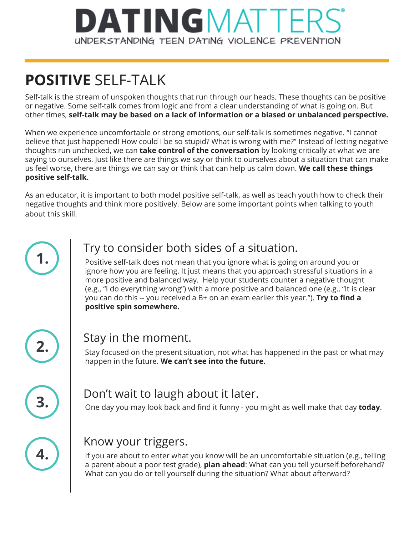## **DATINGMATTER** UNDERSTANDING TEEN DATING VIOLENCE PREVENTION

## **POSITIVE** SELF-TALK

Self-talk is the stream of unspoken thoughts that run through our heads. These thoughts can be positive or negative. Some self-talk comes from logic and from a clear understanding of what is going on. But other times, **self-talk may be based on a lack of information or a biased or unbalanced perspective.** 

When we experience uncomfortable or strong emotions, our self-talk is sometimes negative. "I cannot believe that just happened! How could I be so stupid? What is wrong with me?" Instead of letting negative thoughts run unchecked, we can **take control of the conversation** by looking critically at what we are saying to ourselves. Just like there are things we say or think to ourselves about a situation that can make us feel worse, there are things we can say or think that can help us calm down. **We call these things positive self-talk.** 

As an educator, it is important to both model positive self-talk, as well as teach youth how to check their negative thoughts and think more positively. Below are some important points when talking to youth about this skill.



#### **1.** Try to consider both sides of a situation.

Positive self-talk does not mean that you ignore what is going on around you or ignore how you are feeling. It just means that you approach stressful situations in a more positive and balanced way. Help your students counter a negative thought (e.g., "I do everything wrong") with a more positive and balanced one (e.g., "It is clear you can do this -- you received a B+ on an exam earlier this year."). **Try to find a positive spin somewhere.**



#### **2.** Stay in the moment.

Stay focused on the present situation, not what has happened in the past or what may happen in the future. **We can't see into the future.**



### **3.** Don't wait to laugh about it later.

One day you may look back and find it funny - you might as well make that day **today**.



#### Know your triggers.

If you are about to enter what you know will be an uncomfortable situation (e.g., telling a parent about a poor test grade), **plan ahead**: What can you tell yourself beforehand? What can you do or tell yourself during the situation? What about afterward?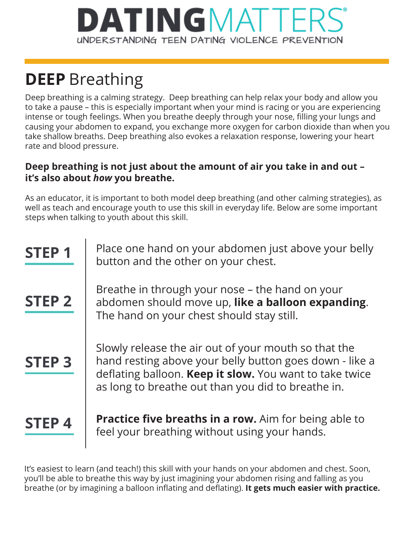## **ATINGMA** UNDERSTANDING TEEN DATING VIOLENCE PREVENTION

## **DEEP** Breathing

Deep breathing is a calming strategy. Deep breathing can help relax your body and allow you to take a pause – this is especially important when your mind is racing or you are experiencing intense or tough feelings. When you breathe deeply through your nose, filling your lungs and causing your abdomen to expand, you exchange more oxygen for carbon dioxide than when you take shallow breaths. Deep breathing also evokes a relaxation response, lowering your heart rate and blood pressure.

#### **Deep breathing is not just about the amount of air you take in and out – it's also about** *how* **you breathe.**

As an educator, it is important to both model deep breathing (and other calming strategies), as well as teach and encourage youth to use this skill in everyday life. Below are some important steps when talking to youth about this skill.

| <b>STEP1</b>  | Place one hand on your abdomen just above your belly<br>button and the other on your chest.                                                                                                                                      |
|---------------|----------------------------------------------------------------------------------------------------------------------------------------------------------------------------------------------------------------------------------|
| <b>STEP 2</b> | Breathe in through your nose – the hand on your<br>abdomen should move up, like a balloon expanding.<br>The hand on your chest should stay still.                                                                                |
| <b>STEP 3</b> | Slowly release the air out of your mouth so that the<br>hand resting above your belly button goes down - like a<br>deflating balloon. Keep it slow. You want to take twice<br>as long to breathe out than you did to breathe in. |
| <b>STEP4</b>  | <b>Practice five breaths in a row.</b> Aim for being able to<br>feel your breathing without using your hands.                                                                                                                    |

It's easiest to learn (and teach!) this skill with your hands on your abdomen and chest. Soon, you'll be able to breathe this way by just imagining your abdomen rising and falling as you breathe (or by imagining a balloon inflating and deflating). **It gets much easier with practice.**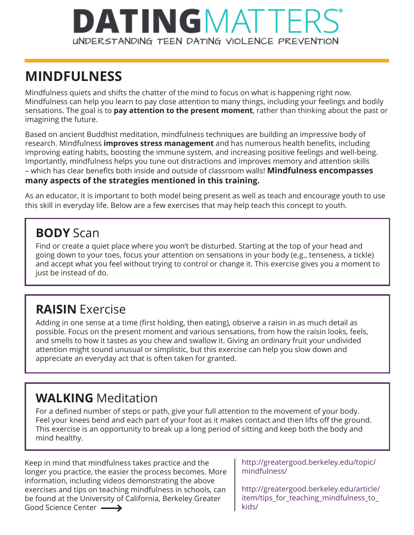## **DATINGMATTE** UNDERSTANDING TEEN DATING VIOLENCE PREVENTION

## **MINDFULNESS**

Mindfulness quiets and shifts the chatter of the mind to focus on what is happening right now. Mindfulness can help you learn to pay close attention to many things, including your feelings and bodily sensations. The goal is to **pay attention to the present moment**, rather than thinking about the past or imagining the future.

Based on ancient Buddhist meditation, mindfulness techniques are building an impressive body of research. Mindfulness **improves stress management** and has numerous health benefits, including improving eating habits, boosting the immune system, and increasing positive feelings and well-being. Importantly, mindfulness helps you tune out distractions and improves memory and attention skills – which has clear benefits both inside and outside of classroom walls! **Mindfulness encompasses many aspects of the strategies mentioned in this training.**

As an educator, it is important to both model being present as well as teach and encourage youth to use this skill in everyday life. Below are a few exercises that may help teach this concept to youth.

### **BODY** Scan

Find or create a quiet place where you won't be disturbed. Starting at the top of your head and going down to your toes, focus your attention on sensations in your body (e.g., tenseness, a tickle) and accept what you feel without trying to control or change it. This exercise gives you a moment to just be instead of do.

## **RAISIN** Exercise

Adding in one sense at a time (first holding, then eating), observe a raisin in as much detail as possible. Focus on the present moment and various sensations, from how the raisin looks, feels, and smells to how it tastes as you chew and swallow it. Giving an ordinary fruit your undivided attention might sound unusual or simplistic, but this exercise can help you slow down and appreciate an everyday act that is often taken for granted.

## **WALKING** Meditation

For a defined number of steps or path, give your full attention to the movement of your body. Feel your knees bend and each part of your foot as it makes contact and then lifts off the ground. This exercise is an opportunity to break up a long period of sitting and keep both the body and mind healthy.

Keep in mind that mindfulness takes practice and the longer you practice, the easier the process becomes. More information, including videos demonstrating the above exercises and tips on teaching mindfulness in schools, can be found at the University of California, Berkeley Greater Good Science Center  $\longrightarrow$ 

http://greatergood.berkeley.edu/topic/ mindfulness/

http://greatergood.berkeley.edu/article/ item/tips\_for\_teaching\_mindfulness\_to kids/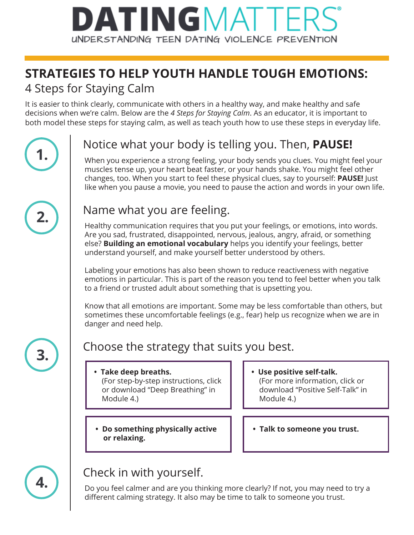## DATINGMATTI UNDERSTANDING TEEN DATING VIOLENCE PREVENTION

## **STRATEGIES TO HELP YOUTH HANDLE TOUGH EMOTIONS:**

#### 4 Steps for Staying Calm

It is easier to think clearly, communicate with others in a healthy way, and make healthy and safe decisions when we're calm. Below are the *4 Steps for Staying Calm*. As an educator, it is important to both model these steps for staying calm, as well as teach youth how to use these steps in everyday life.

## **1.** Notice what your body is telling you. Then, **PAUSE!**

When you experience a strong feeling, your body sends you clues. You might feel your muscles tense up, your heart beat faster, or your hands shake. You might feel other changes, too. When you start to feel these physical clues, say to yourself: **PAUSE!** Just like when you pause a movie, you need to pause the action and words in your own life.



#### **2.** Name what you are feeling.

Healthy communication requires that you put your feelings, or emotions, into words. Are you sad, frustrated, disappointed, nervous, jealous, angry, afraid, or something else? **Building an emotional vocabulary** helps you identify your feelings, better understand yourself, and make yourself better understood by others.

Labeling your emotions has also been shown to reduce reactiveness with negative emotions in particular. This is part of the reason you tend to feel better when you talk to a friend or trusted adult about something that is upsetting you.

Know that all emotions are important. Some may be less comfortable than others, but sometimes these uncomfortable feelings (e.g., fear) help us recognize when we are in danger and need help.

## **3.** Choose the strategy that suits you best.

- **Take deep breaths.** (For step-by-step instructions, click or download "Deep Breathing" in Module 4.)
- **Do something physically active or relaxing.**
- **Use positive self-talk.** (For more information, click or download "Positive Self-Talk" in Module 4.)
- **Talk to someone you trust.**



## **4.** Check in with yourself.

Do you feel calmer and are you thinking more clearly? If not, you may need to try a different calming strategy. It also may be time to talk to someone you trust.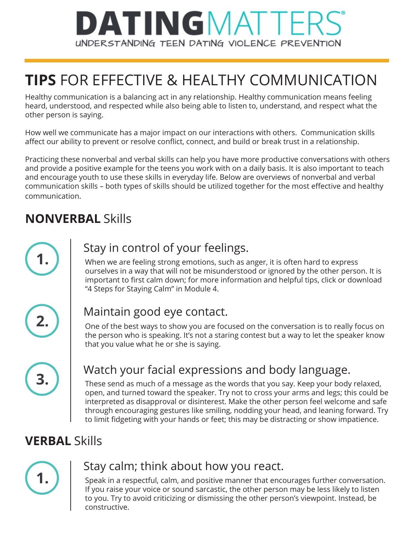## **DATINGMATTER** UNDERSTANDING TEEN DATING VIOLENCE PREVENTION

## **TIPS** FOR EFFECTIVE & HEALTHY COMMUNICATION

Healthy communication is a balancing act in any relationship. Healthy communication means feeling heard, understood, and respected while also being able to listen to, understand, and respect what the other person is saying.

How well we communicate has a major impact on our interactions with others. Communication skills affect our ability to prevent or resolve conflict, connect, and build or break trust in a relationship.

Practicing these nonverbal and verbal skills can help you have more productive conversations with others and provide a positive example for the teens you work with on a daily basis. It is also important to teach and encourage youth to use these skills in everyday life. Below are overviews of nonverbal and verbal communication skills – both types of skills should be utilized together for the most effective and healthy communication.

## **NONVERBAL** Skills



### **1.** Stay in control of your feelings.

When we are feeling strong emotions, such as anger, it is often hard to express ourselves in a way that will not be misunderstood or ignored by the other person. It is important to first calm down; for more information and helpful tips, click or download "4 Steps for Staying Calm" in Module 4.

|--|

#### **2.** Maintain good eye contact.

One of the best ways to show you are focused on the conversation is to really focus on the person who is speaking. It's not a staring contest but a way to let the speaker know that you value what he or she is saying.

### **3.** Watch your facial expressions and body language.

These send as much of a message as the words that you say. Keep your body relaxed, open, and turned toward the speaker. Try not to cross your arms and legs; this could be interpreted as disapproval or disinterest. Make the other person feel welcome and safe through encouraging gestures like smiling, nodding your head, and leaning forward. Try to limit fidgeting with your hands or feet; this may be distracting or show impatience.

## **VERBAL** Skills



#### **1.** Stay calm; think about how you react.

Speak in a respectful, calm, and positive manner that encourages further conversation. If you raise your voice or sound sarcastic, the other person may be less likely to listen to you. Try to avoid criticizing or dismissing the other person's viewpoint. Instead, be constructive.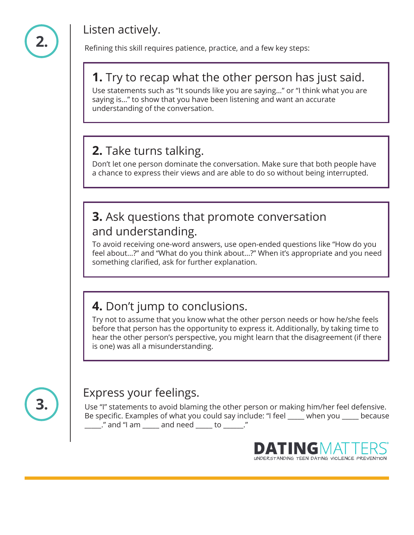

### **2.** Listen actively.

Refining this skill requires patience, practice, and a few key steps:

#### **1.** Try to recap what the other person has just said.

Use statements such as "It sounds like you are saying…" or "I think what you are saying is…" to show that you have been listening and want an accurate understanding of the conversation.

### **2.** Take turns talking.

Don't let one person dominate the conversation. Make sure that both people have a chance to express their views and are able to do so without being interrupted.

#### **3.** Ask questions that promote conversation and understanding.

To avoid receiving one-word answers, use open-ended questions like "How do you feel about...?" and "What do you think about…?" When it's appropriate and you need something clarified, ask for further explanation.

### **4.** Don't jump to conclusions.

Try not to assume that you know what the other person needs or how he/she feels before that person has the opportunity to express it. Additionally, by taking time to hear the other person's perspective, you might learn that the disagreement (if there is one) was all a misunderstanding.



# **3.** Express your feelings.

Use "I" statements to avoid blaming the other person or making him/her feel defensive. Be specific. Examples of what you could say include: "I feel \_\_\_\_\_ when you \_\_\_\_\_ because \_\_\_\_\_." and "I am \_\_\_\_\_ and need \_\_\_\_\_ to \_\_\_\_\_\_."

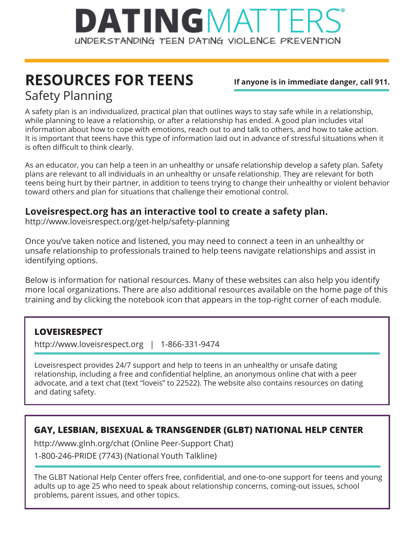

## **RESOURCES FOR TEENS** Safety Planning

**If anyone is in immediate danger, call 911.**

A safety plan is an individualized, practical plan that outlines ways to stay safe while in a relationship, while planning to leave a relationship, or after a relationship has ended. A good plan includes vital information about how to cope with emotions, reach out to and talk to others, and how to take action. It is important that teens have this type of information laid out in advance of stressful situations when it is often difficult to think clearly.

As an educator, you can help a teen in an unhealthy or unsafe relationship develop a safety plan. Safety plans are relevant to all individuals in an unhealthy or unsafe relationship. They are relevant for both teens being hurt by their partner, in addition to teens trying to change their unhealthy or violent behavior toward others and plan for situations that challenge their emotional control.

#### **Loveisrespect.org has an interactive tool to create a safety plan.**

http://www.loveisrespect.org/get-help/safety-planning

Once you've taken notice and listened, you may need to connect a teen in an unhealthy or unsafe relationship to professionals trained to help teens navigate relationships and assist in identifying options.

Below is information for national resources. Many of these websites can also help you identify more local organizations. There are also additional resources available on the home page of this training and by clicking the notebook icon that appears in the top-right corner of each module.

#### **LOVEISRESPECT**

http://www.loveisrespect.org | 1-866-331-9474

Loveisrespect provides 24/7 support and help to teens in an unhealthy or unsafe dating relationship, including a free and confidential helpline, an anonymous online chat with a peer advocate, and a text chat (text "loveis" to 22522). The website also contains resources on dating and dating safety.

#### **GAY, LESBIAN, BISEXUAL & TRANSGENDER (GLBT) NATIONAL HELP CENTER**

http://www.glnh.org/chat (Online Peer-Support Chat)

1-800-246-PRIDE (7743) (National Youth Talkline)

The GLBT National Help Center offers free, confidential, and one-to-one support for teens and young adults up to age 25 who need to speak about relationship concerns, coming-out issues, school problems, parent issues, and other topics.